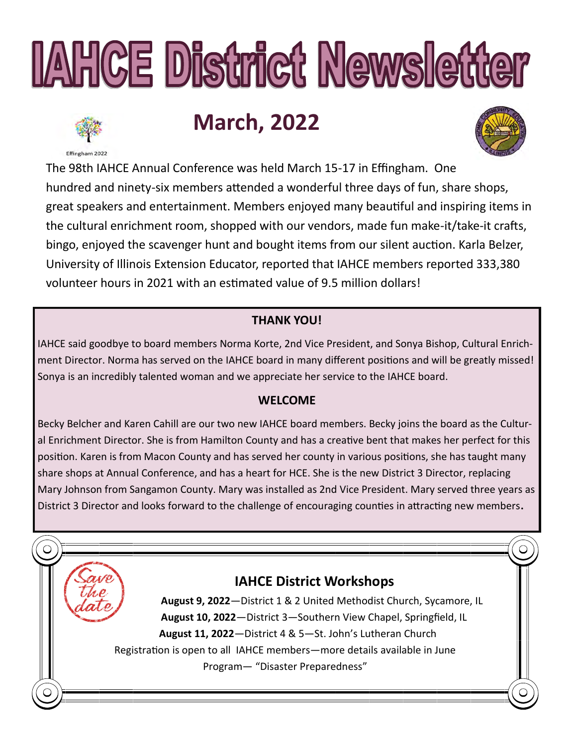# **IAHCE District Newsletter**

# **March, 2022**

Effingham 2022



The 98th IAHCE Annual Conference was held March 15-17 in Effingham. One hundred and ninety-six members attended a wonderful three days of fun, share shops, great speakers and entertainment. Members enjoyed many beautiful and inspiring items in the cultural enrichment room, shopped with our vendors, made fun make-it/take-it crafts, bingo, enjoyed the scavenger hunt and bought items from our silent auction. Karla Belzer, University of Illinois Extension Educator, reported that IAHCE members reported 333,380 volunteer hours in 2021 with an estimated value of 9.5 million dollars!

### **THANK YOU!**

IAHCE said goodbye to board members Norma Korte, 2nd Vice President, and Sonya Bishop, Cultural Enrichment Director. Norma has served on the IAHCE board in many different positions and will be greatly missed! Sonya is an incredibly talented woman and we appreciate her service to the IAHCE board.

### **WELCOME**

Becky Belcher and Karen Cahill are our two new IAHCE board members. Becky joins the board as the Cultural Enrichment Director. She is from Hamilton County and has a creative bent that makes her perfect for this position. Karen is from Macon County and has served her county in various positions, she has taught many share shops at Annual Conference, and has a heart for HCE. She is the new District 3 Director, replacing Mary Johnson from Sangamon County. Mary was installed as 2nd Vice President. Mary served three years as District 3 Director and looks forward to the challenge of encouraging counties in attracting new members**.**

## **IAHCE District Workshops**

**August 9, 2022**—District 1 & 2 United Methodist Church, Sycamore, IL **August 10, 2022**—District 3—Southern View Chapel, Springfield, IL  **August 11, 2022**—District 4 & 5—St. John's Lutheran Church Registration is open to all IAHCE members—more details available in June Program— "Disaster Preparedness"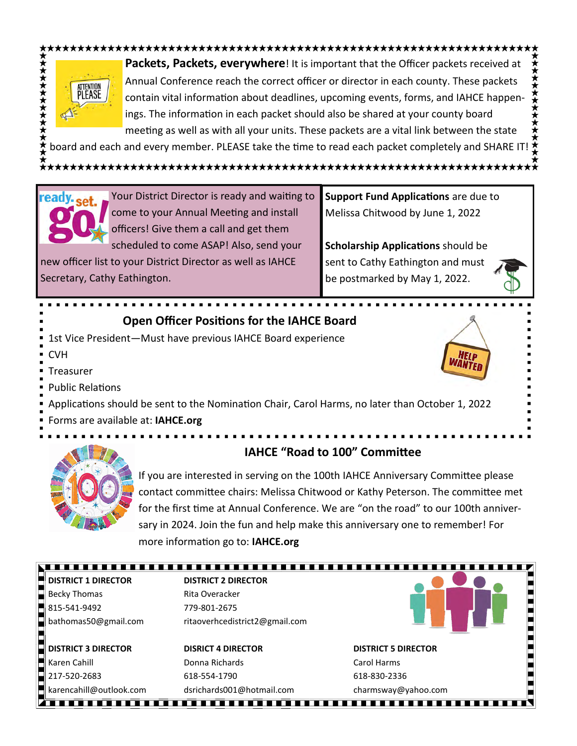

**Packets, Packets, everywhere**! It is important that the Officer packets received at Annual Conference reach the correct officer or director in each county. These packets contain vital information about deadlines, upcoming events, forms, and IAHCE happenings. The information in each packet should also be shared at your county board meeting as well as with all your units. These packets are a vital link between the state

board and each and every member. PLEASE take the time to read each packet completely and SHARE IT!



Your District Director is ready and waiting to come to your Annual Meeting and install officers! Give them a call and get them scheduled to come ASAP! Also, send your

new officer list to your District Director as well as IAHCE Secretary, Cathy Eathington.

**Support Fund Applications** are due to Melissa Chitwood by June 1, 2022

**Scholarship Applications** should be sent to Cathy Eathington and must be postmarked by May 1, 2022.

#### **Open Officer Positions for the IAHCE Board**

- 1st Vice President—Must have previous IAHCE Board experience **CVH**
- Treasurer
- Public Relations



Forms are available at: **IAHCE.org**



#### **IAHCE "Road to 100" Committee**

If you are interested in serving on the 100th IAHCE Anniversary Committee please contact committee chairs: Melissa Chitwood or Kathy Peterson. The committee met for the first time at Annual Conference. We are "on the road" to our 100th anniversary in 2024. Join the fun and help make this anniversary one to remember! For more information go to: **IAHCE.org**

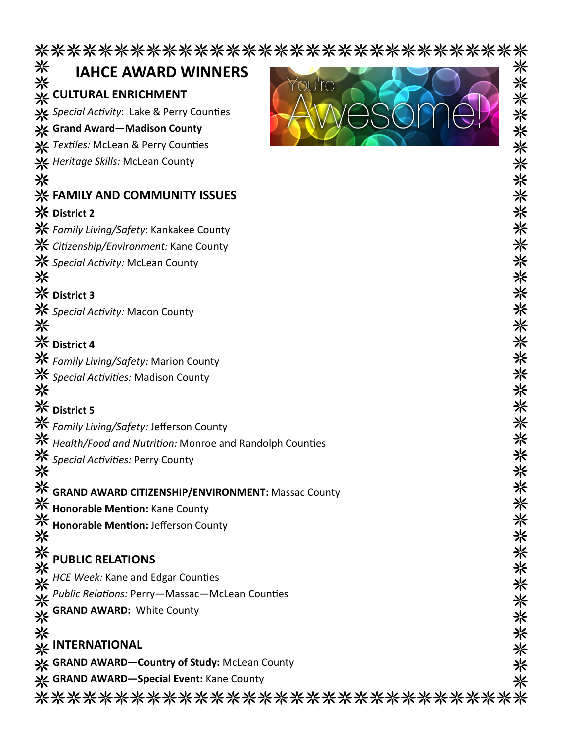\*\*\*\*\*\*\*\*\*\*\*\*\*\*\*\*\*\*\*\*\*\*\*\*\*\*\*\*\*\*\*\*\*\*\*

|   | <b>**</b> IAHCE AWARD V<br>**<br>** CULTURAL ENRICHMENT<br><b>IAHCE AWARD WINNERS</b>                                                                                                                                                                 | <b>米米米米米米米米米米米米米米米米米米米米</b> 米米米米米 |
|---|-------------------------------------------------------------------------------------------------------------------------------------------------------------------------------------------------------------------------------------------------------|-----------------------------------|
|   | ou're                                                                                                                                                                                                                                                 |                                   |
|   | Special Activity: Lake & Perry Counties                                                                                                                                                                                                               |                                   |
|   | ※ Grand Award-Madison County                                                                                                                                                                                                                          |                                   |
|   | X Textiles: McLean & Perry Counties                                                                                                                                                                                                                   |                                   |
|   | <b>米</b> Heritage Skills: McLean County                                                                                                                                                                                                               |                                   |
| 米 |                                                                                                                                                                                                                                                       |                                   |
|   | <b>※ FAMILY AND COMMUNITY ISSUES</b>                                                                                                                                                                                                                  |                                   |
|   | <b>※ District 2</b>                                                                                                                                                                                                                                   |                                   |
|   | <b>米</b> Family Living/Safety: Kankakee County                                                                                                                                                                                                        |                                   |
|   | <b>米</b> Citizenship/Environment: Kane County                                                                                                                                                                                                         |                                   |
|   | <b>米</b> Special Activity: McLean County                                                                                                                                                                                                              |                                   |
| 米 |                                                                                                                                                                                                                                                       |                                   |
|   | <b>※ District 3</b>                                                                                                                                                                                                                                   |                                   |
|   | <b>※</b> Special Activity: Macon County                                                                                                                                                                                                               |                                   |
| ☀ | <b>※ District 4</b>                                                                                                                                                                                                                                   |                                   |
|   |                                                                                                                                                                                                                                                       |                                   |
|   | <b>米</b> Family Living/Safety: Marion County                                                                                                                                                                                                          |                                   |
|   | * <i>Special Activities:</i> Madison County                                                                                                                                                                                                           |                                   |
|   | <b>※ District 5</b>                                                                                                                                                                                                                                   |                                   |
|   | <b>米</b> Family Living/Safety: Jefferson County                                                                                                                                                                                                       |                                   |
|   | Health/Food and Nutrition: Monroe and Randolph Counties                                                                                                                                                                                               |                                   |
|   |                                                                                                                                                                                                                                                       |                                   |
|   | Special Activities: Perry County                                                                                                                                                                                                                      |                                   |
|   | <b>GRAND AWARD CITIZENSHIP/ENVIRONMENT: Massac County</b>                                                                                                                                                                                             |                                   |
|   |                                                                                                                                                                                                                                                       |                                   |
|   | Honorable Mention: Jefferson County                                                                                                                                                                                                                   |                                   |
|   |                                                                                                                                                                                                                                                       |                                   |
|   |                                                                                                                                                                                                                                                       |                                   |
|   | HCE Week: Kane and Edgar Counties                                                                                                                                                                                                                     |                                   |
|   | Public Relations: Perry-Massac-McLean Counties                                                                                                                                                                                                        |                                   |
|   |                                                                                                                                                                                                                                                       |                                   |
|   |                                                                                                                                                                                                                                                       |                                   |
|   | **<br>** GRAND AWARD CITIZENSHIP/ENV<br>** Honorable Mention: Jefferson Cou<br>** Honorable Mention: Jefferson Cou<br>** PUBLIC RELATIONS<br>** <i>HCE Week:</i> Kane and Edgar Countie<br>** <i>Public Relations:</i> Perry—Massac—N<br>** GRAND AWA | **************                    |
| 米 | GRAND AWARD-Country of Study: McLean County                                                                                                                                                                                                           |                                   |
|   | <b>※ GRAND AWARD-Special Event: Kane County</b>                                                                                                                                                                                                       |                                   |
|   | ********************************                                                                                                                                                                                                                      |                                   |